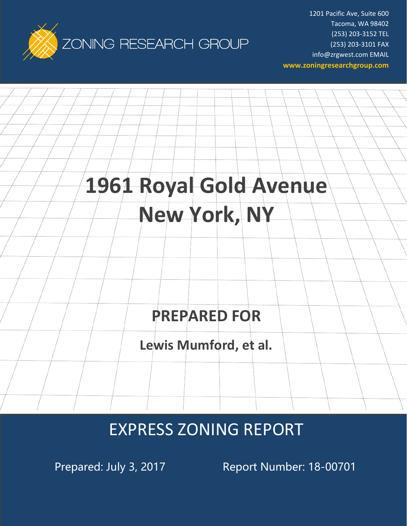

1201 Pacific Ave, Suite 600 Tacoma, WA 98402 (253) 203-3152 TEL (253) 203-3101 FAX info@zrgwest.com EMAIL **www.zoningresearchgroup.com**

# **1961 Royal Gold Avenue New York, NY**

# **PREPARED FOR**

**Lewis Mumford, et al.**

# EXPRESS ZONING REPORT

Prepared: July 3, 2017 Report Number: 18-00701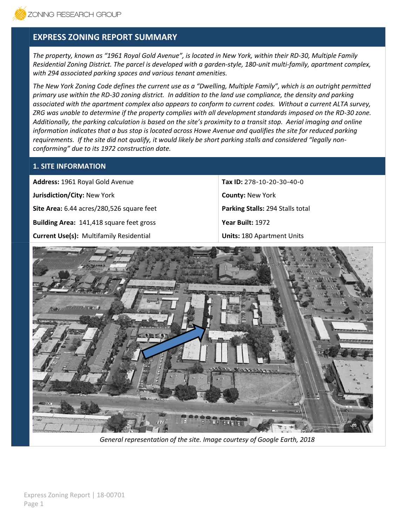# **EXPRESS ZONING REPORT SUMMARY**

*The property, known as "1961 Royal Gold Avenue", is located in New York, within their RD-30, Multiple Family Residential Zoning District. The parcel is developed with a garden-style, 180-unit multi-family, apartment complex, with 294 associated parking spaces and various tenant amenities.*

*The New York Zoning Code defines the current use as a "Dwelling, Multiple Family", which is an outright permitted primary use within the RD-30 zoning district. In addition to the land use compliance, the density and parking associated with the apartment complex also appears to conform to current codes. Without a current ALTA survey, ZRG was unable to determine if the property complies with all development standards imposed on the RD-30 zone. Additionally, the parking calculation is based on the site's proximity to a transit stop. Aerial imaging and online information indicates that a bus stop is located across Howe Avenue and qualifies the site for reduced parking requirements. If the site did not qualify, it would likely be short parking stalls and considered "legally nonconforming" due to its 1972 construction date.*

### **1. SITE INFORMATION**

**Address:** 1961 Royal Gold Avenue **Tax ID:** 278-10-20-30-40-0 **Jurisdiction/City:** New York **County: New York <b>County:** New York **County:** New York **Site Area:** 6.44 acres/280,526 square feet **Parking Stalls: 294 Stalls total Building Area:** 141,418 square feet gross **Year Built:** 1972 **Current Use(s):** Multifamily Residential **Units:** 180 Apartment Units



*General representation of the site. Image courtesy of Google Earth, 2018*

Express Zoning Report | 18-00701 Page 1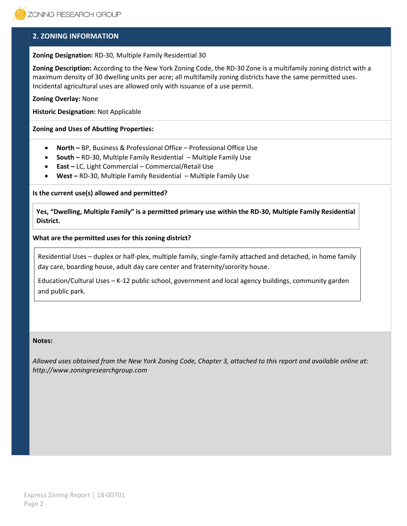### **2. ZONING INFORMATION**

#### **Zoning Designation:** RD-30, Multiple Family Residential 30

**Zoning Description:** According to the New York Zoning Code, the RD-30 Zone is a multifamily zoning district with a maximum density of 30 dwelling units per acre; all multifamily zoning districts have the same permitted uses. Incidental agricultural uses are allowed only with issuance of a use permit.

**Zoning Overlay:** None

**Historic Designation:** Not Applicable

#### **Zoning and Uses of Abutting Properties:**

- **North –** BP, Business & Professional Office Professional Office Use
- **South –** RD-30, Multiple Family Residential Multiple Family Use
- **East –** LC, Light Commercial Commercial/Retail Use
- **West –** RD-30, Multiple Family Residential Multiple Family Use

**Is the current use(s) allowed and permitted?**

**Yes, "Dwelling, Multiple Family" is a permitted primary use within the RD-30, Multiple Family Residential District.**

#### **What are the permitted uses for this zoning district?**

Residential Uses – duplex or half-plex, multiple family, single-family attached and detached, in home family day care, boarding house, adult day care center and fraternity/sorority house.

Education/Cultural Uses – K-12 public school, government and local agency buildings, community garden and public park.

#### **Notes:**

*Allowed uses obtained from the New York Zoning Code, Chapter 3, attached to this report and available online at: http://www.zoningresearchgroup.com*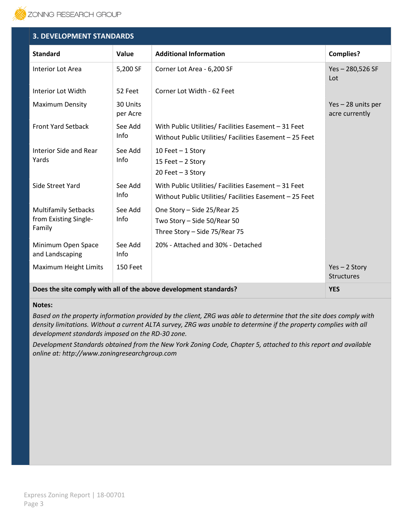

| <b>3. DEVELOPMENT STANDARDS</b>                                                 |                      |                                                                                                                 |                                      |  |
|---------------------------------------------------------------------------------|----------------------|-----------------------------------------------------------------------------------------------------------------|--------------------------------------|--|
| <b>Standard</b>                                                                 | <b>Value</b>         | <b>Additional Information</b>                                                                                   | <b>Complies?</b>                     |  |
| Interior Lot Area                                                               | 5,200 SF             | Corner Lot Area - 6,200 SF                                                                                      | $Yes - 280,526 SF$<br>Lot            |  |
| Interior Lot Width                                                              | 52 Feet              | Corner Lot Width - 62 Feet                                                                                      |                                      |  |
| <b>Maximum Density</b>                                                          | 30 Units<br>per Acre |                                                                                                                 | Yes - 28 units per<br>acre currently |  |
| <b>Front Yard Setback</b>                                                       | See Add<br>Info      | With Public Utilities/ Facilities Easement - 31 Feet<br>Without Public Utilities/ Facilities Easement - 25 Feet |                                      |  |
| Interior Side and Rear<br>Yards                                                 | See Add<br>Info      | 10 Feet $-$ 1 Story<br>15 Feet - 2 Story<br>20 Feet $-3$ Story                                                  |                                      |  |
| Side Street Yard                                                                | See Add<br>Info      | With Public Utilities/ Facilities Easement - 31 Feet<br>Without Public Utilities/ Facilities Easement - 25 Feet |                                      |  |
| <b>Multifamily Setbacks</b><br>from Existing Single-<br>Family                  | See Add<br>Info      | One Story - Side 25/Rear 25<br>Two Story - Side 50/Rear 50<br>Three Story - Side 75/Rear 75                     |                                      |  |
| Minimum Open Space<br>and Landscaping                                           | See Add<br>Info      | 20% - Attached and 30% - Detached                                                                               |                                      |  |
| Maximum Height Limits                                                           | 150 Feet             |                                                                                                                 | $Yes - 2 Story$<br><b>Structures</b> |  |
| Does the site comply with all of the above development standards?<br><b>YES</b> |                      |                                                                                                                 |                                      |  |

#### **Notes:**

*Based on the property information provided by the client, ZRG was able to determine that the site does comply with density limitations. Without a current ALTA survey, ZRG was unable to determine if the property complies with all development standards imposed on the RD-30 zone.*

*Development Standards obtained from the New York Zoning Code, Chapter 5, attached to this report and available online at: http://www.zoningresearchgroup.com*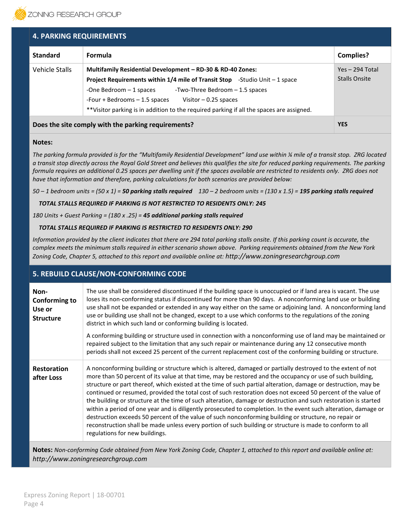

| <b>4. PARKING REQUIREMENTS</b>                      |                                                                                                                                                                                                                                                                                                                                                                        |                                           |  |
|-----------------------------------------------------|------------------------------------------------------------------------------------------------------------------------------------------------------------------------------------------------------------------------------------------------------------------------------------------------------------------------------------------------------------------------|-------------------------------------------|--|
| <b>Standard</b>                                     | <b>Formula</b>                                                                                                                                                                                                                                                                                                                                                         | <b>Complies?</b>                          |  |
| Vehicle Stalls                                      | Multifamily Residential Development - RD-30 & RD-40 Zones:<br><b>Project Requirements within 1/4 mile of Transit Stop</b> -Studio Unit $-1$ space<br>-One Bedroom - 1 spaces<br>-Two-Three Bedroom - 1.5 spaces<br>-Four + Bedrooms - 1.5 spaces<br>Visitor $-0.25$ spaces<br>**Visitor parking is in addition to the required parking if all the spaces are assigned. | $Yes - 294 Total$<br><b>Stalls Onsite</b> |  |
| Does the site comply with the parking requirements? |                                                                                                                                                                                                                                                                                                                                                                        | <b>YES</b>                                |  |

#### **Notes:**

*The parking formula provided is for the "Multifamily Residential Development" land use within ¼ mile of a transit stop. ZRG located a transit stop directly across the Royal Gold Street and believes this qualifies the site for reduced parking requirements. The parking formula requires an additional 0.25 spaces per dwelling unit if the spaces available are restricted to residents only. ZRG does not have that information and therefore, parking calculations for both scenarios are provided below:*

*50 – 1 bedroom units = (50 x 1) = 50 parking stalls required 130 – 2 bedroom units = (130 x 1.5) = 195 parking stalls required* 

 *TOTAL STALLS REQUIRED IF PARKING IS NOT RESTRICTED TO RESIDENTS ONLY: 245* 

*180 Units + Guest Parking = (180 x .25) = 45 additional parking stalls required* 

#### *TOTAL STALLS REQUIRED IF PARKING IS RESTRICTED TO RESIDENTS ONLY: 290*

*Information provided by the client indicates that there are 294 total parking stalls onsite. If this parking count is accurate, the complex meets the minimum stalls required in either scenario shown above. Parking requirements obtained from the New York Zoning Code, Chapter 5, attached to this report and available online at: http://www.zoningresearchgroup.com*

### **5. REBUILD CLAUSE/NON-CONFORMING CODE**

| Non-<br><b>Conforming to</b><br>Use or<br><b>Structure</b> | The use shall be considered discontinued if the building space is unoccupied or if land area is vacant. The use<br>loses its non-conforming status if discontinued for more than 90 days. A nonconforming land use or building<br>use shall not be expanded or extended in any way either on the same or adjoining land. A nonconforming land<br>use or building use shall not be changed, except to a use which conforms to the regulations of the zoning<br>district in which such land or conforming building is located.<br>A conforming building or structure used in connection with a nonconforming use of land may be maintained or<br>repaired subject to the limitation that any such repair or maintenance during any 12 consecutive month<br>periods shall not exceed 25 percent of the current replacement cost of the conforming building or structure.                                                                                     |
|------------------------------------------------------------|-----------------------------------------------------------------------------------------------------------------------------------------------------------------------------------------------------------------------------------------------------------------------------------------------------------------------------------------------------------------------------------------------------------------------------------------------------------------------------------------------------------------------------------------------------------------------------------------------------------------------------------------------------------------------------------------------------------------------------------------------------------------------------------------------------------------------------------------------------------------------------------------------------------------------------------------------------------|
| <b>Restoration</b><br>after Loss                           | A nonconforming building or structure which is altered, damaged or partially destroyed to the extent of not<br>more than 50 percent of its value at that time, may be restored and the occupancy or use of such building,<br>structure or part thereof, which existed at the time of such partial alteration, damage or destruction, may be<br>continued or resumed, provided the total cost of such restoration does not exceed 50 percent of the value of<br>the building or structure at the time of such alteration, damage or destruction and such restoration is started<br>within a period of one year and is diligently prosecuted to completion. In the event such alteration, damage or<br>destruction exceeds 50 percent of the value of such nonconforming building or structure, no repair or<br>reconstruction shall be made unless every portion of such building or structure is made to conform to all<br>regulations for new buildings. |

**Notes:** *Non-conforming Code obtained from New York Zoning Code, Chapter 1, attached to this report and available online at: http://www.zoningresearchgroup.com*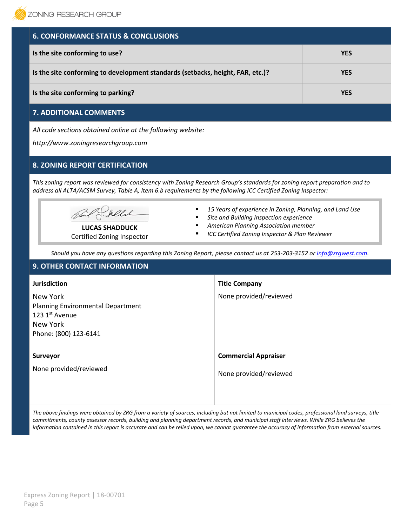| <b>6. CONFORMANCE STATUS &amp; CONCLUSIONS</b>                                 |            |
|--------------------------------------------------------------------------------|------------|
| Is the site conforming to use?                                                 | <b>YES</b> |
| Is the site conforming to development standards (setbacks, height, FAR, etc.)? | <b>YES</b> |
| Is the site conforming to parking?                                             | <b>YES</b> |

# **7. ADDITIONAL COMMENTS**

*All code sections obtained online at the following website:*

*http://www.zoningresearchgroup.com*

# **8. ZONING REPORT CERTIFICATION**

*This zoning report was reviewed for consistency with Zoning Research Group's standards for zoning report preparation and to address all ALTA/ACSM Survey, Table A, Item 6.b requirements by the following ICC Certified Zoning Inspector:*

 $\sum_{i=1}^n a_i$ 

**LUCAS SHADDUCK** Certified Zoning Inspector

- 15 Years of experience in Zoning, Planning, and Land Use
- **Site and Building Inspection experience**
- *American Planning Association member*
- *ICC Certified Zoning Inspector & Plan Reviewer*

*Should you have any questions regarding this Zoning Report, please contact us at 253-203-3152 or [info@zrgwest.com.](mailto:info@zrgwest.com)*

| <b>9. OTHER CONTACT INFORMATION</b>                                                                  |                             |  |
|------------------------------------------------------------------------------------------------------|-----------------------------|--|
| <b>Jurisdiction</b>                                                                                  | <b>Title Company</b>        |  |
| New York<br>Planning Environmental Department<br>123 1st Avenue<br>New York<br>Phone: (800) 123-6141 | None provided/reviewed      |  |
| Surveyor<br>None provided/reviewed                                                                   | <b>Commercial Appraiser</b> |  |
|                                                                                                      | None provided/reviewed      |  |

*The above findings were obtained by ZRG from a variety of sources, including but not limited to municipal codes, professional land surveys, title commitments, county assessor records, building and planning department records, and municipal staff interviews. While ZRG believes the information contained in this report is accurate and can be relied upon, we cannot guarantee the accuracy of information from external sources.*